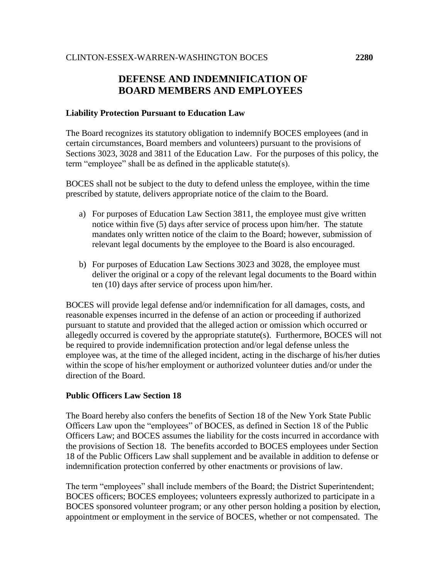## **DEFENSE AND INDEMNIFICATION OF BOARD MEMBERS AND EMPLOYEES**

## **Liability Protection Pursuant to Education Law**

The Board recognizes its statutory obligation to indemnify BOCES employees (and in certain circumstances, Board members and volunteers) pursuant to the provisions of Sections 3023, 3028 and 3811 of the Education Law. For the purposes of this policy, the term "employee" shall be as defined in the applicable statute(s).

BOCES shall not be subject to the duty to defend unless the employee, within the time prescribed by statute, delivers appropriate notice of the claim to the Board.

- a) For purposes of Education Law Section 3811, the employee must give written notice within five (5) days after service of process upon him/her. The statute mandates only written notice of the claim to the Board; however, submission of relevant legal documents by the employee to the Board is also encouraged.
- b) For purposes of Education Law Sections 3023 and 3028, the employee must deliver the original or a copy of the relevant legal documents to the Board within ten (10) days after service of process upon him/her.

BOCES will provide legal defense and/or indemnification for all damages, costs, and reasonable expenses incurred in the defense of an action or proceeding if authorized pursuant to statute and provided that the alleged action or omission which occurred or allegedly occurred is covered by the appropriate statute(s). Furthermore, BOCES will not be required to provide indemnification protection and/or legal defense unless the employee was, at the time of the alleged incident, acting in the discharge of his/her duties within the scope of his/her employment or authorized volunteer duties and/or under the direction of the Board.

## **Public Officers Law Section 18**

The Board hereby also confers the benefits of Section 18 of the New York State Public Officers Law upon the "employees" of BOCES, as defined in Section 18 of the Public Officers Law; and BOCES assumes the liability for the costs incurred in accordance with the provisions of Section 18. The benefits accorded to BOCES employees under Section 18 of the Public Officers Law shall supplement and be available in addition to defense or indemnification protection conferred by other enactments or provisions of law.

The term "employees" shall include members of the Board; the District Superintendent; BOCES officers; BOCES employees; volunteers expressly authorized to participate in a BOCES sponsored volunteer program; or any other person holding a position by election, appointment or employment in the service of BOCES, whether or not compensated. The